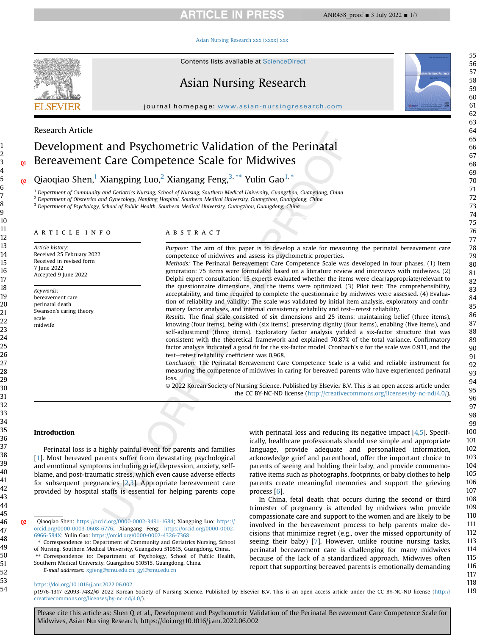# **ARTICLE IN PRESS**

#### [Asian Nursing Research xxx \(xxxx\) xxx](https://doi.org/10.1016/j.anr.2022.06.002)



Contents lists available at ScienceDirect

# Asian Nursing Research

journal homepage: [www.asian-nursingresearch.com](http://www.asian-nursingresearch.com)

# Research Article

# Development and Psychometric Validation of the Perinatal Bereavement Care Competence Scale for Midwives

Qiaoqiao Shen,<sup>[1](#page-0-0)</sup> Xiangping Luo,<sup>[2](#page-0-1)</sup> Xiangang Feng,<sup>[3](#page-0-2),\*\*</sup> Yulin Gao<sup>[1,](#page-0-0)\*</sup>

<span id="page-0-1"></span><span id="page-0-0"></span><sup>1</sup> Department of Community and Geriatrics Nursing, School of Nursing, Southern Medical University, Guangzhou, Guangdong, China  $2$  Department of Obstetrics and Gynecology, Nanfang Hospital, Southern Medical University, Guangzhou, Guangdong, China

<span id="page-0-2"></span><sup>3</sup> Department of Psychology, School of Public Health, Southern Medical University, Guangzhou, Guangdong, China

#### article info

Article history: Received 25 February 2022 Received in revised form 7 June 2022 Accepted 9 June 2022

Keywords: bereavement care perinatal death Swanson's caring theory scale midwife

#### **ABSTRACT**

Purpose: The aim of this paper is to develop a scale for measuring the perinatal bereavement care competence of midwives and assess its psychometric properties.

Methods: The Perinatal Bereavement Care Competence Scale was developed in four phases. (1) Item generation: 75 items were formulated based on a literature review and interviews with midwives. (2) Delphi expert consultation: 15 experts evaluated whether the items were clear/appropriate/relevant to the questionnaire dimensions, and the items were optimized. (3) Pilot test: The comprehensibility, acceptability, and time required to complete the questionnaire by midwives were assessed. (4) Evaluation of reliability and validity: The scale was validated by initial item analysis, exploratory and confirmatory factor analyses, and internal consistency reliability and test-retest reliability.

Results: The final scale consisted of six dimensions and 25 items: maintaining belief (three items), knowing (four items), being with (six items), preserving dignity (four items), enabling (five items), and self-adjustment (three items). Exploratory factor analysis yielded a six-factor structure that was consistent with the theoretical framework and explained 70.87% of the total variance. Confirmatory factor analysis indicated a good fit for the six-factor model. Cronbach's  $\alpha$  for the scale was 0.931, and the test-retest reliability coefficient was 0.968.

Conclusion: The Perinatal Bereavement Care Competence Scale is a valid and reliable instrument for measuring the competence of midwives in caring for bereaved parents who have experienced perinatal loss.

© 2022 Korean Society of Nursing Science. Published by Elsevier B.V. This is an open access article under the CC BY-NC-ND license [\(http://creativecommons.org/licenses/by-nc-nd/4.0/](http://creativecommons.org/licenses/by-nc-nd/4.0/)).

### Introduction

Perinatal loss is a highly painful event for parents and families [\[1](#page-6-0)]. Most bereaved parents suffer from devastating psychological and emotional symptoms including grief, depression, anxiety, selfblame, and post-traumatic stress, which even cause adverse effects for subsequent pregnancies [[2](#page-6-1)[,3](#page-6-2)]. Appropriate bereavement care provided by hospital staffs is essential for helping parents cope

Q2 Qiaoqiao Shen: [https://orcid.org/0000-0002-3491-1684;](https://orcid.org/0000-0002-3491-1684) Xiangping Luo: [https://](https://orcid.org/0000-0003-0608-6776) [orcid.org/0000-0003-0608-6776](https://orcid.org/0000-0003-0608-6776); Xiangang Feng: [https://orcid.org/0000-0002-](https://orcid.org/0000-0002-6966-584X) [6966-584X](https://orcid.org/0000-0002-6966-584X); Yulin Gao: <https://orcid.org/0000-0002-4326-7368>

\* Correspondence to: Department of Community and Geriatrics Nursing, School of Nursing, Southern Medical University, Guangzhou 510515, Guangdong, China. Correspondence to: Department of Psychology, School of Public Health, Southern Medical University, Guangzhou 510515, Guangdong, China. E-mail addresses: [xgfeng@smu.edu.cn,](mailto:xgfeng@smu.edu.cn) [gyl@smu.edu.cn](mailto:gyl@smu.edu.cn)

with perinatal loss and reducing its negative impact [[4](#page-6-3)[,5](#page-6-4)]. Specifically, healthcare professionals should use simple and appropriate language, provide adequate and personalized information, acknowledge grief and parenthood, offer the important choice to parents of seeing and holding their baby, and provide commemorative items such as photographs, footprints, or baby clothes to help parents create meaningful memories and support the grieving process [\[6\]](#page-6-5).

In China, fetal death that occurs during the second or third trimester of pregnancy is attended by midwives who provide compassionate care and support to the women and are likely to be involved in the bereavement process to help parents make decisions that minimize regret (e.g., over the missed opportunity of seeing their baby) [\[7](#page-6-6)]. However, unlike routine nursing tasks, perinatal bereavement care is challenging for many midwives because of the lack of a standardized approach. Midwives often report that supporting bereaved parents is emotionally demanding

# <https://doi.org/10.1016/j.anr.2022.06.002>

p1976-1317 e2093-7482/© 2022 Korean Society of Nursing Science. Published by Elsevier B.V. This is an open access article under the CC BY-NC-ND license ([http://](http://creativecommons.org/licenses/by-nc-nd/4.0/) [creativecommons.org/licenses/by-nc-nd/4.0/](http://creativecommons.org/licenses/by-nc-nd/4.0/)).

Please cite this article as: Shen Q et al., Development and Psychometric Validation of the Perinatal Bereavement Care Competence Scale for Midwives, Asian Nursing Research, https://doi.org/10.1016/j.anr.2022.06.002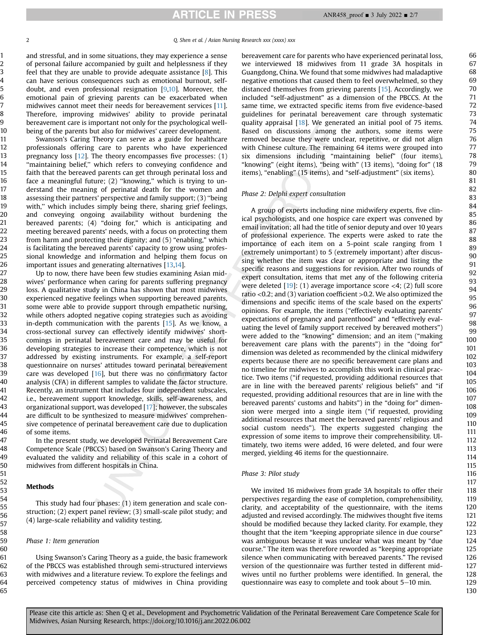and stressful, and in some situations, they may experience a sense of personal failure accompanied by guilt and helplessness if they feel that they are unable to provide adequate assistance [[8](#page-6-7)]. This can have serious consequences such as emotional burnout, selfdoubt, and even professional resignation [\[9,](#page-6-8)[10](#page-6-9)]. Moreover, the emotional pain of grieving parents can be exacerbated when midwives cannot meet their needs for bereavement services [\[11](#page-6-10)]. Therefore, improving midwives' ability to provide perinatal bereavement care is important not only for the psychological wellbeing of the parents but also for midwives' career development.

Swanson's Caring Theory can serve as a guide for healthcare professionals offering care to parents who have experienced pregnancy loss  $[12]$  $[12]$ . The theory encompasses five processes:  $(1)$ "maintaining belief," which refers to conveying confidence and faith that the bereaved parents can get through perinatal loss and face a meaningful future; (2) ''knowing,'' which is trying to understand the meaning of perinatal death for the women and assessing their partners' perspective and family support; (3) ''being with," which includes simply being there, sharing grief feelings, and conveying ongoing availability without burdening the bereaved parents; (4) "doing for," which is anticipating and meeting bereaved parents' needs, with a focus on protecting them from harm and protecting their dignity; and (5) "enabling," which is facilitating the bereaved parents' capacity to grow using professional knowledge and information and helping them focus on important issues and generating alternatives [[13](#page-6-12)[,14\]](#page-6-13).

Up to now, there have been few studies examining Asian midwives' performance when caring for parents suffering pregnancy loss. A qualitative study in China has shown that most midwives experienced negative feelings when supporting bereaved parents, some were able to provide support through empathetic nursing, while others adopted negative coping strategies such as avoiding in-depth communication with the parents [\[15](#page-6-14)]. As we know, a cross-sectional survey can effectively identify midwives' shortcomings in perinatal bereavement care and may be useful for developing strategies to increase their competence, which is not addressed by existing instruments. For example, a self-report questionnaire on nurses' attitudes toward perinatal bereavement care was developed  $[16]$  $[16]$ , but there was no confirmatory factor analysis (CFA) in different samples to validate the factor structure. Recently, an instrument that includes four independent subscales, i.e., bereavement support knowledge, skills, self-awareness, and organizational support, was developed [\[17\]](#page-6-16); however, the subscales are difficult to be synthesized to measure midwives' comprehensive competence of perinatal bereavement care due to duplication of some items.

In the present study, we developed Perinatal Bereavement Care Competence Scale (PBCCS) based on Swanson's Caring Theory and evaluated the validity and reliability of this scale in a cohort of midwives from different hospitals in China.

# Methods

This study had four phases: (1) item generation and scale construction; (2) expert panel review; (3) small-scale pilot study; and (4) large-scale reliability and validity testing.

#### Phase 1: Item generation

Using Swanson's Caring Theory as a guide, the basic framework of the PBCCS was established through semi-structured interviews with midwives and a literature review. To explore the feelings and perceived competency status of midwives in China providing bereavement care for parents who have experienced perinatal loss, we interviewed 18 midwives from 11 grade 3A hospitals in Guangdong, China. We found that some midwives had maladaptive negative emotions that caused them to feel overwhelmed, so they distanced themselves from grieving parents [[15\]](#page-6-14). Accordingly, we included "self-adjustment" as a dimension of the PBCCS. At the same time, we extracted specific items from five evidence-based guidelines for perinatal bereavement care through systematic quality appraisal [\[18](#page-6-17)]. We generated an initial pool of 75 items. Based on discussions among the authors, some items were removed because they were unclear, repetitive, or did not align with Chinese culture. The remaining 64 items were grouped into six dimensions including "maintaining belief" (four items), "knowing" (eight items), "being with" (13 items), "doing for" (18 items), "enabling" (15 items), and "self-adjustment" (six items).

#### Phase 2: Delphi expert consultation

A group of experts including nine midwifery experts, five clinical psychologists, and one hospice care expert was convened by email invitation; all had the title of senior deputy and over 10 years of professional experience. The experts were asked to rate the importance of each item on a 5-point scale ranging from 1 (extremely unimportant) to 5 (extremely important) after discussing whether the item was clear or appropriate and listing the specific reasons and suggestions for revision. After two rounds of expert consultation, items that met any of the following criteria were deleted  $[19]$  $[19]$ : (1) average importance score  $\langle 4; (2) \rangle$  full score ratio <0.2; and (3) variation coefficient >0.2. We also optimized the dimensions and specific items of the scale based on the experts' opinions. For example, the items ("effectively evaluating parents' expectations of pregnancy and parenthood" and "effectively evaluating the level of family support received by bereaved mothers") were added to the "knowing" dimension; and an item ("making bereavement care plans with the parents") in the "doing for" dimension was deleted as recommended by the clinical midwifery experts because there are no specific bereavement care plans and no timeline for midwives to accomplish this work in clinical practice. Two items ("if requested, providing additional resources that are in line with the bereaved parents' religious beliefs" and "if requested, providing additional resources that are in line with the bereaved parents' customs and habits") in the "doing for" dimension were merged into a single item ("if requested, providing additional resources that meet the bereaved parents' religious and social custom needs"). The experts suggested changing the expression of some items to improve their comprehensibility. Ultimately, two items were added, 16 were deleted, and four were merged, yielding 46 items for the questionnaire.

## Phase 3: Pilot study

We invited 16 midwives from grade 3A hospitals to offer their perspectives regarding the ease of completion, comprehensibility, clarity, and acceptability of the questionnaire, with the items adjusted and revised accordingly. The midwives thought five items should be modified because they lacked clarity. For example, they thought that the item "keeping appropriate silence in due course" was ambiguous because it was unclear what was meant by "due course." The item was therefore reworded as "keeping appropriate silence when communicating with bereaved parents." The revised version of the questionnaire was further tested in different midwives until no further problems were identified. In general, the questionnaire was easy to complete and took about  $5-10$  min.

Please cite this article as: Shen Q et al., Development and Psychometric Validation of the Perinatal Bereavement Care Competence Scale for Midwives, Asian Nursing Research, https://doi.org/10.1016/j.anr.2022.06.002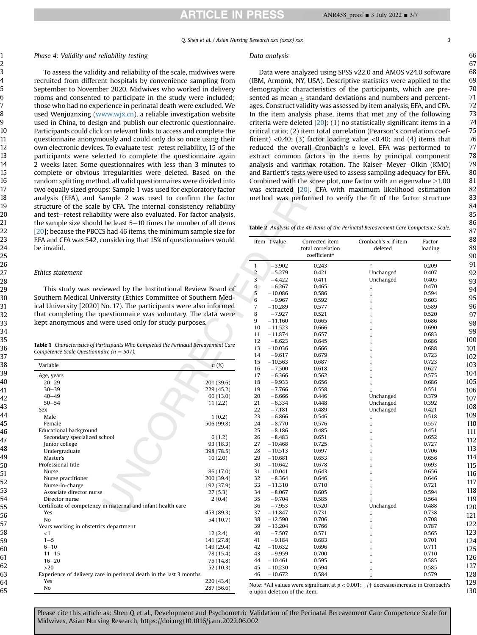Q. Shen et al. / Asian Nursing Research xxx (xxxx) xxx 3

#### Phase 4: Validity and reliability testing

To assess the validity and reliability of the scale, midwives were recruited from different hospitals by convenience sampling from September to November 2020. Midwives who worked in delivery rooms and consented to participate in the study were included; those who had no experience in perinatal death were excluded. We used Wenjuanxing ([www.wjx.cn](http://www.wjx.cn)), a reliable investigation website used in China, to design and publish our electronic questionnaire. Participants could click on relevant links to access and complete the questionnaire anonymously and could only do so once using their own electronic devices. To evaluate test-retest reliability, 15 of the participants were selected to complete the questionnaire again 2 weeks later. Some questionnaires with less than 3 minutes to complete or obvious irregularities were deleted. Based on the random splitting method, all valid questionnaires were divided into two equally sized groups: Sample 1 was used for exploratory factor analysis (EFA), and Sample 2 was used to confirm the factor structure of the scale by CFA. The internal consistency reliability and test-retest reliability were also evaluated. For factor analysis, the sample size should be least  $5-10$  times the number of all items [\[20\]](#page-6-19); because the PBCCS had 46 items, the minimum sample size for EFA and CFA was 542, considering that 15% of questionnaires would be invalid.

#### Ethics statement

This study was reviewed by the Institutional Review Board of Southern Medical University (Ethics Committee of Southern Medical University [2020] No. 17). The participants were also informed that completing the questionnaire was voluntary. The data were kept anonymous and were used only for study purposes.

<span id="page-2-0"></span>Table 1 Characteristics of Participants Who Completed the Perinatal Bereavement Care Competence Scale Questionnaire ( $n = 507$ ).

| Variable                                                            | $n(\%)$    |
|---------------------------------------------------------------------|------------|
| Age, years                                                          |            |
| $20 - 29$                                                           | 201 (39.6) |
| $30 - 39$                                                           | 229 (45.2) |
| $40 - 49$                                                           | 66 (13.0)  |
| $50 - 54$                                                           | 11(2.2)    |
| Sex                                                                 |            |
| Male                                                                | 1(0.2)     |
| Female                                                              | 506 (99.8) |
| <b>Educational background</b>                                       |            |
| Secondary specialized school                                        | 6(1.2)     |
| Junior college                                                      | 93 (18.3)  |
| Undergraduate                                                       | 398 (78.5) |
| Master's                                                            | 10(2.0)    |
| Professional title                                                  |            |
| <b>Nurse</b>                                                        | 86 (17.0)  |
| Nurse practitioner                                                  | 200 (39.4) |
| Nurse-in-charge                                                     | 192 (37.9) |
| Associate director nurse                                            | 27(5.3)    |
| Director nurse                                                      | 2(0.4)     |
| Certificate of competency in maternal and infant health care        |            |
| Yes                                                                 | 453 (89.3) |
| N <sub>0</sub>                                                      | 54 (10.7)  |
| Years working in obstetrics department                              |            |
| $<$ 1                                                               | 12(2.4)    |
| $1 - 5$                                                             | 141 (27.8) |
| $6 - 10$                                                            | 149 (29.4) |
| $11 - 15$                                                           | 78 (15.4)  |
| $16 - 20$                                                           | 75 (14.8)  |
| >20                                                                 | 52 (10.3)  |
| Experience of delivery care in perinatal death in the last 3 months |            |
| Yes                                                                 | 220 (43.4) |
| No                                                                  | 287 (56.6) |

#### Data analysis

Data were analyzed using SPSS v22.0 and AMOS v24.0 software (IBM, Armonk, NY, USA). Descriptive statistics were applied to the demographic characteristics of the participants, which are presented as mean  $\pm$  standard deviations and numbers and percentages. Construct validity was assessed by item analysis, EFA, and CFA. In the item analysis phase, items that met any of the following criteria were deleted  $[20]$  $[20]$ : (1) no statistically significant items in a critical ratio; (2) item total correlation (Pearson's correlation coefficient) <0.40; (3) factor loading value <0.40; and (4) items that reduced the overall Cronbach's  $\alpha$  level. EFA was performed to extract common factors in the items by principal component analysis and varimax rotation. The Kaiser-Meyer-Olkin (KMO) and Bartlett's tests were used to assess sampling adequacy for EFA. Combined with the scree plot, one factor with an eigenvalue  $\geq 1.00$ was extracted [[20](#page-6-19)]. CFA with maximum likelihood estimation method was performed to verify the fit of the factor structure

<span id="page-2-1"></span>Table 2 Analysis of the 46 Items of the Perinatal Bereavement Care Competence Scale.

|                         | Item t value | Corrected item<br>total correlation<br>coefficient* | Cronbach's $\alpha$ if item<br>deleted | Factor<br>loading |
|-------------------------|--------------|-----------------------------------------------------|----------------------------------------|-------------------|
| $\mathbf{1}$            | $-3.902$     | 0.243                                               | $\uparrow$                             | 0.209             |
| $\overline{2}$          | $-5.279$     | 0.421                                               | Unchanged                              | 0.407             |
| 3                       | $-4.422$     | 0.411                                               | Unchanged                              | 0.405             |
| $\overline{\mathbf{4}}$ | $-6.267$     | 0.465                                               | $\downarrow$                           | 0.470             |
| 5                       | $-10.086$    | 0.586                                               | $\downarrow$                           | 0.594             |
| 6                       | $-9.967$     | 0.592                                               | $\downarrow$                           | 0.603             |
| 7                       | $-10.289$    | 0.577                                               | T                                      | 0.589             |
| 8                       | $-7.927$     | 0.521                                               |                                        | 0.520             |
| 9                       | $-11.160$    | 0.665                                               |                                        | 0.686             |
| 10                      | $-11.523$    | 0.666                                               |                                        | 0.690             |
| 11                      | $-11.874$    | 0.657                                               |                                        | 0.683             |
| 12                      | $-8.623$     | 0.645                                               |                                        | 0.686             |
| 13                      | $-10.036$    | 0.666                                               |                                        | 0.688             |
| 14                      | $-9.617$     | 0.679                                               |                                        | 0.723             |
| 15                      | $-10.563$    | 0.687                                               |                                        | 0.723             |
| 16                      | $-7.500$     | 0.618                                               |                                        | 0.627             |
| 17                      | $-6.366$     | 0.562                                               |                                        | 0.575             |
| 18                      | $-9.933$     | 0.656                                               | J.                                     | 0.686             |
| 19                      | $-7.766$     | 0.558                                               |                                        | 0.551             |
| 20                      | $-6.666$     | 0.446                                               | Unchanged                              | 0.379             |
| 21                      | $-6.334$     | 0.448                                               | Unchanged                              | 0.392             |
| 22                      | $-7.181$     | 0.489                                               | Unchanged                              | 0.421             |
| 23                      | $-6.866$     | 0.546                                               | ↓                                      | 0.518             |
| 24                      | $-8.770$     | 0.576                                               | $\downarrow$                           | 0.557             |
| 25                      | $-8.186$     | 0.485                                               | T                                      | 0.451             |
| 26                      | $-8.483$     | 0.651                                               |                                        | 0.652             |
| 27                      | $-10.468$    | 0.725                                               |                                        | 0.727             |
| 28                      | $-10.513$    | 0.697                                               |                                        | 0.706             |
| 29                      | $-10.681$    | 0.653                                               | T                                      | 0.656             |
| 30                      | $-10.642$    | 0.678                                               |                                        | 0.693             |
| 31                      | $-10.041$    | 0.643                                               |                                        | 0.656             |
| 32                      | $-8.364$     | 0.646                                               |                                        | 0.646             |
| 33                      | $-11.310$    | 0.710                                               |                                        | 0.721             |
| 34                      | $-8.067$     | 0.605                                               |                                        | 0.594             |
| 35                      | $-9.704$     | 0.585                                               |                                        | 0.564             |
| 36                      | $-7.953$     | 0.520                                               | Unchanged                              | 0.488             |
| 37                      | $-11.847$    | 0.731                                               | $\downarrow$                           | 0.738             |
| 38                      | $-12.590$    | 0.706                                               | $\downarrow$                           | 0.708             |
| 39                      | $-13.204$    | 0.766                                               | T                                      | 0.787             |
| 40                      | $-7.507$     | 0.571                                               | T                                      | 0.565             |
| 41                      | $-9.184$     | 0.683                                               |                                        | 0.701             |
| 42                      | $-10.632$    | 0.696                                               |                                        | 0.711             |
| 43                      | $-9.959$     | 0.700                                               |                                        | 0.710             |
| 44                      | $-10.461$    | 0.595                                               |                                        | 0.585             |
| 45                      | $-10.230$    | 0.594                                               |                                        | 0.585             |
| 46                      | $-10.672$    | 0.584                                               | $\downarrow$                           | 0.579             |

Note: \*All values were significant at  $p < 0.001$ ;  $\downarrow$ / $\uparrow$  decrease/increase in Cronbach's a upon deletion of the item.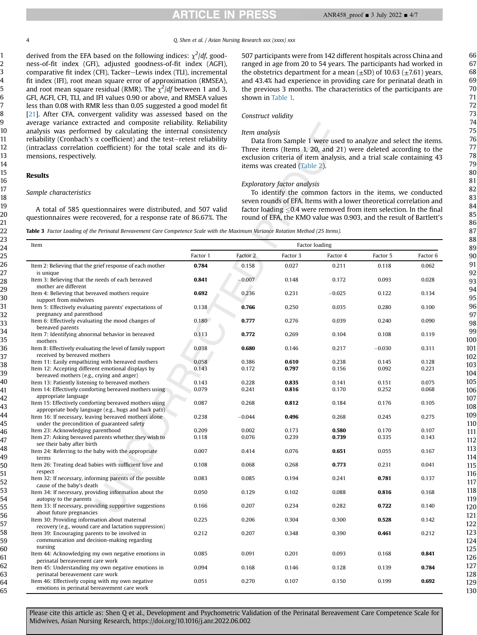4 Q. Shen et al. / Asian Nursing Research xxx (xxxx) xxx

derived from the EFA based on the following indices:  $\chi^2$ /df, goodness-of-fit index (GFI), adjusted goodness-of-fit index (AGFI), comparative fit index (CFI), Tacker-Lewis index (TLI), incremental fit index (IFI), root mean square error of approximation (RMSEA), and root mean square residual (RMR). The  $\chi^2$ /df between 1 and 3, GFI, AGFI, CFI, TLI, and IFI values 0.90 or above, and RMSEA values less than 0.08 with RMR less than 0.05 suggested a good model fit [[21\]](#page-6-20). After CFA, convergent validity was assessed based on the average variance extracted and composite reliability. Reliability analysis was performed by calculating the internal consistency reliability (Cronbach's  $\alpha$  coefficient) and the test-retest reliability (intraclass correlation coefficient) for the total scale and its dimensions, respectively.

A total of 585 questionnaires were distributed, and 507 valid questionnaires were recovered, for a response rate of 86.67%. The

# Results

#### Sample characteristics

507 participants were from 142 different hospitals across China and ranged in age from 20 to 54 years. The participants had worked in the obstetrics department for a mean  $(\pm SD)$  of 10.63  $(\pm 7.61)$  years, and 43.4% had experience in providing care for perinatal death in the previous 3 months. The characteristics of the participants are shown in [Table 1.](#page-2-0)

# Construct validity

#### Item analysis

Data from Sample 1 were used to analyze and select the items. Three items (Items 1, 20, and 21) were deleted according to the exclusion criteria of item analysis, and a trial scale containing 43 items was created ([Table 2\)](#page-2-1).

#### Exploratory factor analysis

To identify the common factors in the items, we conducted seven rounds of EFA. Items with a lower theoretical correlation and factor loading  $<$  0.4 were removed from item selection. In the final round of EFA, the KMO value was 0.903, and the result of Bartlett's

<span id="page-3-0"></span>Table 3 Factor Loading of the Perinatal Bereavement Care Competence Scale with the Maximum Variance Rotation Method (25 Items).

| Item                                                                                                           | Factor loading |                |          |          |          |                |
|----------------------------------------------------------------------------------------------------------------|----------------|----------------|----------|----------|----------|----------------|
|                                                                                                                | Factor 1       | Factor 2       | Factor 3 | Factor 4 | Factor 5 | Factor 6       |
| Item 2: Believing that the grief response of each mother<br>is unique                                          | 0.784          | 0.158          | 0.027    | 0.211    | 0.118    | 0.062          |
| Item 3: Believing that the needs of each bereaved<br>mother are different                                      | 0.841          | $-0.007$       | 0.148    | 0.172    | 0.093    | 0.028          |
| Item 4: Believing that bereaved mothers require<br>support from midwives                                       | 0.692          | 0.236          | 0.231    | $-0.025$ | 0.122    | 0.134          |
| Item 5: Effectively evaluating parents' expectations of<br>pregnancy and parenthood                            | 0.138          | 0.766          | 0.250    | 0.035    | 0.280    | 0.100          |
| Item 6: Effectively evaluating the mood changes of<br>bereaved parents                                         | 0.180          | 0.777          | 0.276    | 0.039    | 0.240    | 0.090          |
| Item 7: Identifying abnormal behavior in bereaved<br>mothers                                                   | 0.113          | 0.772          | 0.269    | 0.104    | 0.108    | 0.119          |
| Item 8: Effectively evaluating the level of family support<br>received by bereaved mothers                     | 0.038          | 0.680          | 0.146    | 0.217    | $-0.030$ | 0.311          |
| Item 11: Easily empathizing with bereaved mothers                                                              | 0.058          | 0.386          | 0.610    | 0.238    | 0.145    | 0.128          |
| Item 12: Accepting different emotional displays by<br>bereaved mothers (e.g., crying and anger)                | 0.143          | 0.172          | 0.797    | 0.156    | 0.092    | 0.221          |
| Item 13: Patiently listening to bereaved mothers                                                               | 0.143          | 0.228          | 0.835    | 0.141    | 0.151    | 0.075          |
| Item 14: Effectively comforting bereaved mothers using<br>appropriate language                                 | 0.079          | 0.241          | 0.816    | 0.170    | 0.252    | 0.068          |
| Item 15: Effectively comforting bereaved mothers using<br>appropriate body language (e.g., hugs and back pats) | 0.087          | 0.268          | 0.812    | 0.184    | 0.176    | 0.105          |
| Item 16: If necessary, leaving bereaved mothers alone<br>under the precondition of guaranteed safety           | 0.238          | $-0.044$       | 0.496    | 0.268    | 0.245    | 0.275          |
| Item 23: Acknowledging parenthood                                                                              | 0.209          | 0.002          | 0.173    | 0.580    | 0.170    | 0.107          |
| Item 27: Asking bereaved parents whether they wish to<br>see their baby after birth                            | 0.118          | 0.076          | 0.239    | 0.739    | 0.335    | 0.143          |
| Item 24: Referring to the baby with the appropriate<br>terms                                                   | 0.007          | 0.414          | 0.076    | 0.651    | 0.055    | 0.167          |
| Item 26: Treating dead babies with sufficient love and<br>respect                                              | 0.108          | 0.068          | 0.268    | 0.773    | 0.231    | 0.041          |
| Item 32: If necessary, informing parents of the possible<br>cause of the baby's death                          | 0.083          | 0.085          | 0.194    | 0.241    | 0.781    | 0.137          |
| Item 34: If necessary, providing information about the<br>autopsy to the parents                               | 0.050          | 0.129          | 0.102    | 0.088    | 0.816    | 0.168          |
| Item 33: If necessary, providing supportive suggestions<br>about future pregnancies                            | 0.166          | 0.207          | 0.234    | 0.282    | 0.722    | 0.140          |
| Item 30: Providing information about maternal<br>recovery (e.g., wound care and lactation suppression)         | 0.225          | 0.206<br>0.207 | 0.304    | 0.300    | 0.528    | 0.142<br>0.212 |
| Item 39: Encouraging parents to be involved in<br>communication and decision-making regarding<br>nursing       | 0.212          |                | 0.348    | 0.390    | 0.461    |                |
| Item 44: Acknowledging my own negative emotions in<br>perinatal bereavement care work                          | 0.085          | 0.091          | 0.201    | 0.093    | 0.168    | 0.841          |
| Item 45: Understanding my own negative emotions in<br>perinatal bereavement care work                          | 0.094          | 0.168          | 0.146    | 0.128    | 0.139    | 0.784          |
| Item 46: Effectively coping with my own negative<br>emotions in perinatal bereavement care work                | 0.051          | 0.270          | 0.107    | 0.150    | 0.199    | 0.692          |

Please cite this article as: Shen Q et al., Development and Psychometric Validation of the Perinatal Bereavement Care Competence Scale for Midwives, Asian Nursing Research, https://doi.org/10.1016/j.anr.2022.06.002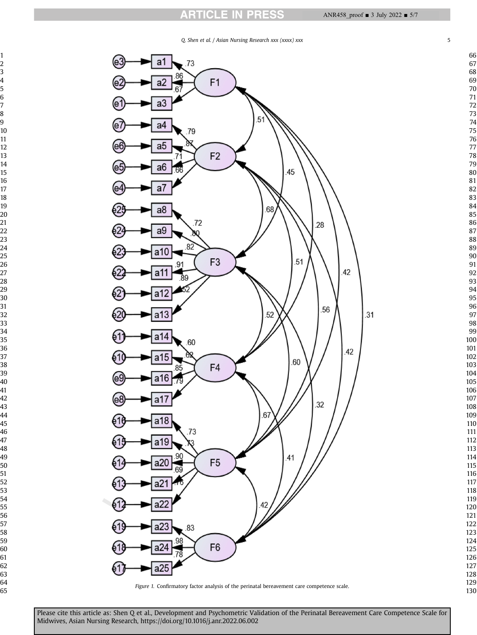# **ARTICLE IN PRESS**

<span id="page-4-0"></span>

Please cite this article as: Shen Q et al., Development and Psychometric Validation of the Perinatal Bereavement Care Competence Scale for Midwives, Asian Nursing Research, https://doi.org/10.1016/j.anr.2022.06.002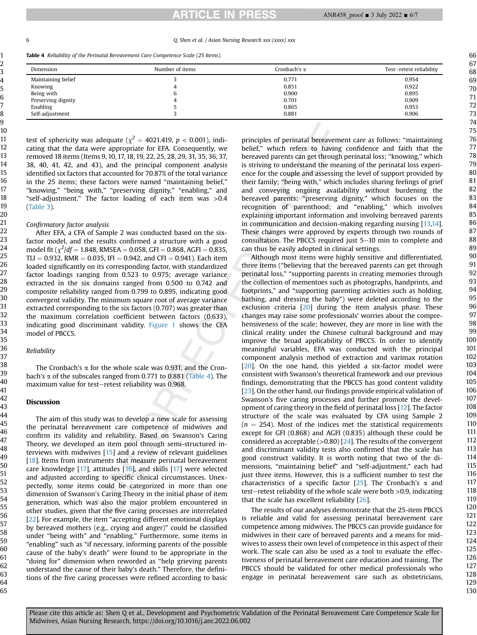#### 6 Q. Shen et al. / Asian Nursing Research xxx (xxxx) xxx

<span id="page-5-0"></span>Table 4 Reliability of the Perinatal Bereavement Care Competence Scale (25 Items).

| Dimension          | Number of items | Cronbach's $\alpha$ | Test-retest reliability |
|--------------------|-----------------|---------------------|-------------------------|
| Maintaining belief |                 | 0.771               | 0.954                   |
| Knowing            |                 | 0.851               | 0.922                   |
| Being with         |                 | 0.900               | 0.895                   |
| Preserving dignity |                 | 0.701               | 0.909                   |
| Enabling           |                 | 0.865               | 0.953                   |
| Self-adjustment    |                 | 0.881               | 0.906                   |

test of sphericity was adequate ( $\chi^2$  = 4021.419, p < 0.001), indicating that the data were appropriate for EFA. Consequently, we removed 18 items (Items 9, 10, 17, 18, 19, 22, 25, 28, 29, 31, 35, 36, 37, 38, 40, 41, 42, and 43), and the principal component analysis identified six factors that accounted for 70.87% of the total variance in the 25 items; these factors were named "maintaining belief," "knowing," "being with," "preserving dignity," "enabling," and "self-adjustment." The factor loading of each item was >0.4 ([Table 3\)](#page-3-0).

## Confirmatory factor analysis

After EFA, a CFA of Sample 2 was conducted based on the sixfactor model, and the results confirmed a structure with a good model fit  $(\chi^2/df = 1.848$ , RMSEA = 0.058, GFI = 0.868, AGFI = 0.835, TLI = 0.932, RMR = 0.035, IFI = 0.942, and CFI = 0.941). Each item loaded significantly on its corresponding factor, with standardized factor loadings ranging from 0.523 to 0.975; average variance extracted in the six domains ranged from 0.500 to 0.742 and composite reliability ranged from 0.799 to 0.895, indicating good convergent validity. The minimum square root of average variance extracted corresponding to the six factors (0.707) was greater than the maximum correlation coefficient between factors (0.633), indicating good discriminant validity. [Figure 1](#page-4-0) shows the CFA model of PBCCS.

# Reliability

The Cronbach's  $\alpha$  for the whole scale was 0.931, and the Cronbach's  $\alpha$  of the subscales ranged from 0.771 to 0.881 ([Table 4\)](#page-5-0). The maximum value for test-retest reliability was 0.968.

# Discussion

The aim of this study was to develop a new scale for assessing the perinatal bereavement care competence of midwives and confirm its validity and reliability. Based on Swanson's Caring Theory, we developed an item pool through semi-structured interviews with midwives [[15\]](#page-6-14) and a review of relevant guidelines [[18\]](#page-6-17). Items from instruments that measure perinatal bereavement care knowledge [[17](#page-6-16)], attitudes [\[16](#page-6-15)], and skills [\[17\]](#page-6-16) were selected and adjusted according to specific clinical circumstances. Unexpectedly, some items could be categorized in more than one dimension of Swanson's Caring Theory in the initial phase of item generation, which was also the major problem encountered in other studies, given that the five caring processes are interrelated [[22](#page-6-21)]. For example, the item "accepting different emotional displays by bereaved mothers (e.g., crying and anger)" could be classified under "being with" and "enabling." Furthermore, some items in "enabling" such as "if necessary, informing parents of the possible cause of the baby's death" were found to be appropriate in the "doing for" dimension when reworded as "help grieving parents understand the cause of their baby's death." Therefore, the definitions of the five caring processes were refined according to basic

principles of perinatal bereavement care as follows: "maintaining belief," which refers to having confidence and faith that the bereaved parents can get through perinatal loss; ''knowing,'' which is striving to understand the meaning of the perinatal loss experience for the couple and assessing the level of support provided by their family; ''being with,'' which includes sharing feelings of grief and conveying ongoing availability without burdening the bereaved parents; "preserving dignity," which focuses on the recognition of parenthood; and "enabling," which involves explaining important information and involving bereaved parents in communication and decision-making regarding nursing [[13,](#page-6-12)[14](#page-6-13)]. These changes were approved by experts through two rounds of consultation. The PBCCS required just  $5-10$  min to complete and can thus be easily adopted in clinical settings.

Although most items were highly sensitive and differentiated, three items ("believing that the bereaved parents can get through perinatal loss," "supporting parents in creating memories through the collection of mementoes such as photographs, handprints, and footprints," and "supporting parenting activities such as holding, bathing, and dressing the baby") were deleted according to the exclusion criteria [[20](#page-6-19)] during the item analysis phase. These changes may raise some professionals' worries about the comprehensiveness of the scale; however, they are more in line with the clinical reality under the Chinese cultural background and may improve the broad applicability of PBCCS. In order to identify meaningful variables, EFA was conducted with the principal component analysis method of extraction and varimax rotation [[20](#page-6-19)]. On the one hand, this yielded a six-factor model were consistent with Swanson's theoretical framework and our previous findings, demonstrating that the PBCCS has good content validity [[23](#page-6-22)]. On the other hand, our findings provide empirical validation of Swanson's five caring processes and further promote the development of caring theory in the field of perinatal loss [[12\]](#page-6-11). The factor structure of the scale was evaluated by CFA using Sample 2  $(n = 254)$ . Most of the indices met the statistical requirements except for GFI (0.868) and AGFI (0.835) although these could be considered as acceptable  $(>0.80)$  [[24](#page-6-23)]. The results of the convergent and discriminant validity tests also confirmed that the scale has good construct validity. It is worth noting that two of the dimensions, "maintaining belief" and "self-adjustment," each had just three items. However, this is a sufficient number to test the characteristics of a specific factor  $[25]$  $[25]$  $[25]$ . The Cronbach's  $\alpha$  and  $test–retest$  reliability of the whole scale were both  $>0.9$ , indicating that the scale has excellent reliability [[26](#page-6-25)].

The results of our analyses demonstrate that the 25-item PBCCS is reliable and valid for assessing perinatal bereavement care competence among midwives. The PBCCS can provide guidance for midwives in their care of bereaved parents and a means for midwives to assess their own level of competence in this aspect of their work. The scale can also be used as a tool to evaluate the effectiveness of perinatal bereavement care education and training. The PBCCS should be validated for other medical professionals who engage in perinatal bereavement care such as obstetricians,

129 130